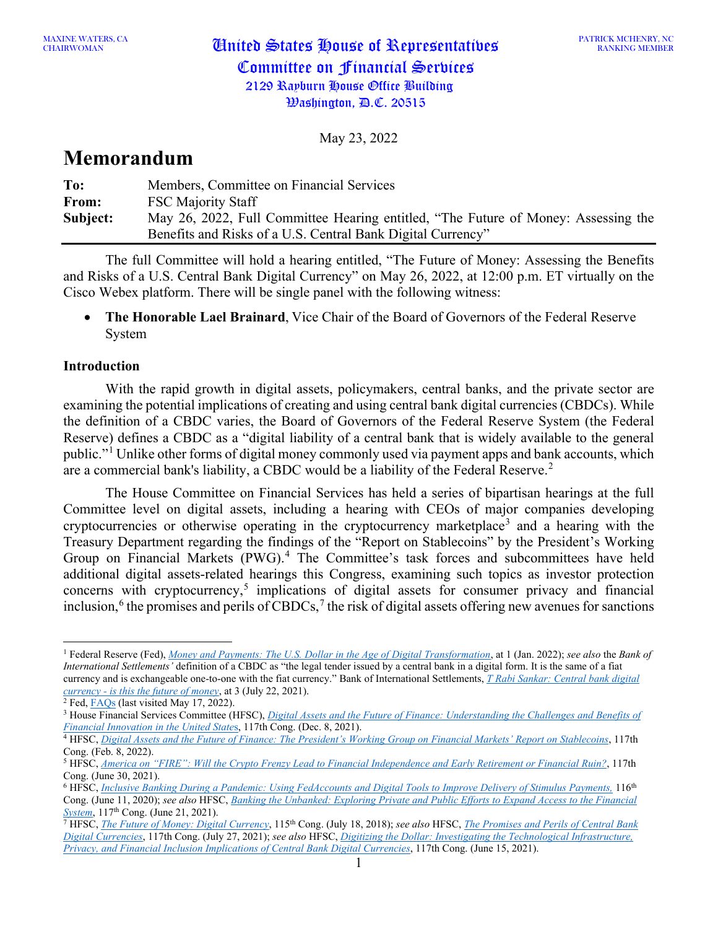May 23, 2022

# **Memorandum**

| To:      | Members, Committee on Financial Services                                           |
|----------|------------------------------------------------------------------------------------|
| From:    | <b>FSC Majority Staff</b>                                                          |
| Subject: | May 26, 2022, Full Committee Hearing entitled, "The Future of Money: Assessing the |
|          | Benefits and Risks of a U.S. Central Bank Digital Currency"                        |

The full Committee will hold a hearing entitled, "The Future of Money: Assessing the Benefits and Risks of a U.S. Central Bank Digital Currency" on May 26, 2022, at 12:00 p.m. ET virtually on the Cisco Webex platform. There will be single panel with the following witness:

• **The Honorable Lael Brainard**, Vice Chair of the Board of Governors of the Federal Reserve System

## **Introduction**

With the rapid growth in digital assets, policymakers, central banks, and the private sector are examining the potential implications of creating and using central bank digital currencies (CBDCs). While the definition of a CBDC varies, the Board of Governors of the Federal Reserve System (the Federal Reserve) defines a CBDC as a "digital liability of a central bank that is widely available to the general public."[1](#page-0-0) Unlike other forms of digital money commonly used via payment apps and bank accounts, which are a commercial bank's liability, a CBDC would be a liability of the Federal Reserve.<sup>[2](#page-0-1)</sup>

The House Committee on Financial Services has held a series of bipartisan hearings at the full Committee level on digital assets, including a hearing with CEOs of major companies developing cryptocurrencies or otherwise operating in the cryptocurrency marketplace<sup>[3](#page-0-2)</sup> and a hearing with the Treasury Department regarding the findings of the "Report on Stablecoins" by the President's Working Group on Financial Markets (PWG).<sup>[4](#page-0-3)</sup> The Committee's task forces and subcommittees have held additional digital assets-related hearings this Congress, examining such topics as investor protection concerns with cryptocurrency, [5](#page-0-4) implications of digital assets for consumer privacy and financial inclusion,  $6$  the promises and perils of CBDCs,  $7$  the risk of digital assets offering new avenues for sanctions

<span id="page-0-0"></span><sup>1</sup> Federal Reserve (Fed), *[Money and Payments: The U.S. Dollar in the Age of Digital Transformation](https://www.federalreserve.gov/publications/files/money-and-payments-20220120.pdf)*, at 1 (Jan. 2022); *see also* the *Bank of International Settlements'* definition of a CBDC as "the legal tender issued by a central bank in a digital form. It is the same of a fiat currency and is exchangeable one-to-one with the fiat currency." Bank of International Settlements, *[T Rabi Sankar: Central bank digital](https://www.bis.org/review/r210811a.htm)  currency - is this the future of money*, at 3 (July 22, 2021). 2 Fed[, FAQs](https://www.federalreserve.gov/faqs/what-is-a-central-bank-digital-currency.htm) (last visited May 17, 2022).

<span id="page-0-1"></span>

<span id="page-0-2"></span><sup>3</sup> House Financial Services Committee (HFSC), *[Digital Assets and the Future of Finance: Understanding the Challenges and Benefits of](https://financialservices.house.gov/events/eventsingle.aspx?EventID=408705&hss_channel=tw-2151686839)  [Financial Innovation in the United State](https://financialservices.house.gov/events/eventsingle.aspx?EventID=408705&hss_channel=tw-2151686839)*s, 117th Cong. (Dec. 8, 2021).

<span id="page-0-3"></span><sup>4</sup> HFSC, *[Digital Assets and the Future of Finance: The President's Working Group on Financial Markets' Report on Stablecoins](https://financialservices.house.gov/events/eventsingle.aspx?EventID=409026)*, 117th Cong. (Feb. 8, 2022).<br><sup>5</sup> HFSC, <u>[America on "FIRE": Will the Crypto Frenzy Lead to Financial Independence and Early Retirement or Financial Ruin?](https://financialservices.house.gov/events/eventsingle.aspx?EventID=407958)</u>, 117th

<span id="page-0-4"></span>Cong. (June 30, 2021).

<span id="page-0-5"></span><sup>6</sup> HFSC, *[Inclusive Banking During a Pandemic: Using FedAccounts and Digital Tools to Improve Delivery of Stimulus Payments,](https://financialservices.house.gov/events/eventsingle.aspx?EventID=406617)* 116th Cong. (June 11, 2020); *see also* HFSC, *[Banking the Unbanked: Exploring Private and Public Efforts to Expand Access to the Financial](https://financialservices.house.gov/events/eventsingle.aspx?EventID=408109)  [System](https://financialservices.house.gov/events/eventsingle.aspx?EventID=408109)*, 117<sup>th</sup> Cong. (June 21, 2021).

<span id="page-0-6"></span><sup>7</sup> HFSC, *[The Future of Money: Digital Currency](https://financialservices.house.gov/events/eventsingle.aspx?EventID=401540)*, 115th Cong. (July 18, 2018); *see also* HFSC, *[The Promises and Perils of Central Bank](https://financialservices.house.gov/events/eventsingle.aspx?EventID=408111)  [Digital Currencies](https://financialservices.house.gov/events/eventsingle.aspx?EventID=408111)*, 117th Cong. (July 27, 2021); *see also* HFSC, *[Digitizing the Dollar: Investigating the Technological Infrastructure,](https://financialservices.house.gov/events/eventsingle.aspx?EventID=407953)  [Privacy, and Financial Inclusion Implications of Central Bank Digital Currencies](https://financialservices.house.gov/events/eventsingle.aspx?EventID=407953)*, 117th Cong. (June 15, 2021).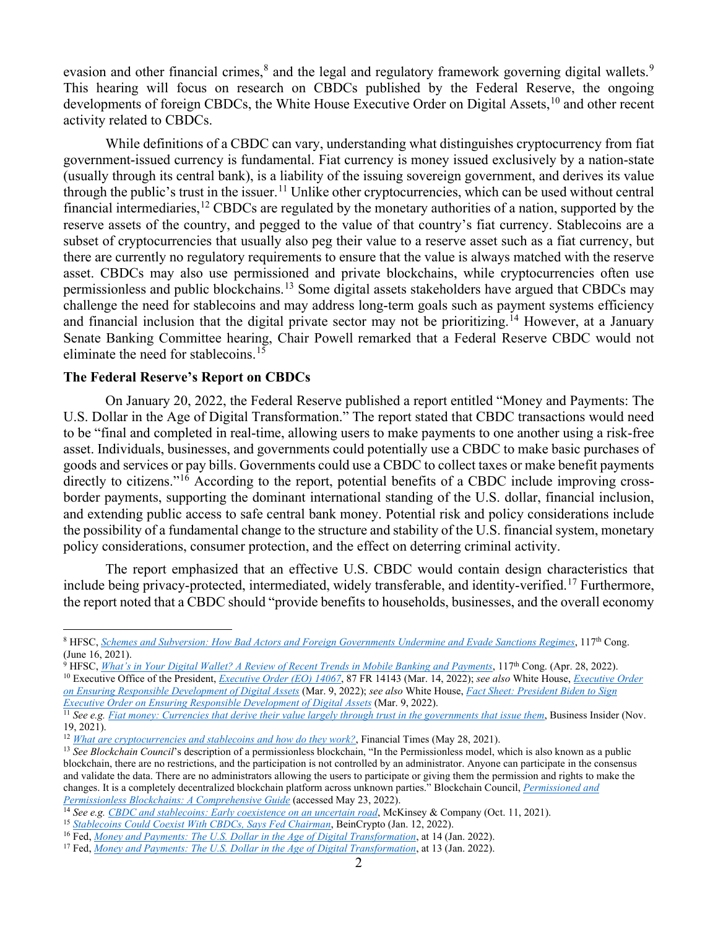evasion and other financial crimes,<sup>[8](#page-1-0)</sup> and the legal and regulatory framework governing digital wallets.<sup>[9](#page-1-1)</sup> This hearing will focus on research on CBDCs published by the Federal Reserve, the ongoing developments of foreign CBDCs, the White House Executive Order on Digital Assets,<sup>[10](#page-1-2)</sup> and other recent activity related to CBDCs.

While definitions of a CBDC can vary, understanding what distinguishes cryptocurrency from fiat government-issued currency is fundamental. Fiat currency is money issued exclusively by a nation-state (usually through its central bank), is a liability of the issuing sovereign government, and derives its value through the public's trust in the issuer.<sup>[11](#page-1-3)</sup> Unlike other cryptocurrencies, which can be used without central financial intermediaries,<sup>[12](#page-1-4)</sup> CBDCs are regulated by the monetary authorities of a nation, supported by the reserve assets of the country, and pegged to the value of that country's fiat currency. Stablecoins are a subset of cryptocurrencies that usually also peg their value to a reserve asset such as a fiat currency, but there are currently no regulatory requirements to ensure that the value is always matched with the reserve asset. CBDCs may also use permissioned and private blockchains, while cryptocurrencies often use permissionless and public blockchains.<sup>[13](#page-1-5)</sup> Some digital assets stakeholders have argued that CBDCs may challenge the need for stablecoins and may address long-term goals such as payment systems efficiency and financial inclusion that the digital private sector may not be prioritizing.<sup>[14](#page-1-6)</sup> However, at a January Senate Banking Committee hearing, Chair Powell remarked that a Federal Reserve CBDC would not eliminate the need for stablecoins. [15](#page-1-7)

## **The Federal Reserve's Report on CBDCs**

On January 20, 2022, the Federal Reserve published a report entitled "Money and Payments: The U.S. Dollar in the Age of Digital Transformation." The report stated that CBDC transactions would need to be "final and completed in real-time, allowing users to make payments to one another using a risk-free asset. Individuals, businesses, and governments could potentially use a CBDC to make basic purchases of goods and services or pay bills. Governments could use a CBDC to collect taxes or make benefit payments directly to citizens."<sup>[16](#page-1-8)</sup> According to the report, potential benefits of a CBDC include improving crossborder payments, supporting the dominant international standing of the U.S. dollar, financial inclusion, and extending public access to safe central bank money. Potential risk and policy considerations include the possibility of a fundamental change to the structure and stability of the U.S. financial system, monetary policy considerations, consumer protection, and the effect on deterring criminal activity.

The report emphasized that an effective U.S. CBDC would contain design characteristics that include being privacy-protected, intermediated, widely transferable, and identity-verified. [17](#page-1-9) Furthermore, the report noted that a CBDC should "provide benefits to households, businesses, and the overall economy

<span id="page-1-0"></span><sup>8</sup> HFSC, *[Schemes and Subversion: How Bad Actors and Foreign Governments Undermine and Evade Sanctions Regimes](https://financialservices.house.gov/events/eventsingle.aspx?EventID=407955)*, 117th Cong. (June 16, 2021).

<span id="page-1-1"></span><sup>9</sup> HFSC, *[What's in Your Digital Wallet? A Review of Recent Trends in Mobile Banking and Payments](https://financialservices.house.gov/events/eventsingle.aspx?EventID=409260)*, 117th Cong. (Apr. 28, 2022).

<span id="page-1-2"></span><sup>10</sup> Executive Office of the President, *[Executive Order](https://www.federalregister.gov/documents/2022/03/14/2022-05471/ensuring-responsible-development-of-digital-assets) (EO) 14067*, 87 FR 14143 (Mar. 14, 2022); *see also* White House, *[Executive Order](https://www.whitehouse.gov/briefing-room/presidential-actions/2022/03/09/executive-order-on-ensuring-responsible-development-of-digital-assets/)  [on Ensuring Responsible Development of Digital Assets](https://www.whitehouse.gov/briefing-room/presidential-actions/2022/03/09/executive-order-on-ensuring-responsible-development-of-digital-assets/)* (Mar. 9, 2022); *see also* White House, *[Fact Sheet: President Biden to Sign](https://www.whitehouse.gov/briefing-room/statements-releases/2022/03/09/fact-sheet-president-biden-to-sign-executive-order-on-ensuring-responsible-innovation-in-digital-assets/)  [Executive Order on Ensuring Responsible Development of Digital Assets](https://www.whitehouse.gov/briefing-room/statements-releases/2022/03/09/fact-sheet-president-biden-to-sign-executive-order-on-ensuring-responsible-innovation-in-digital-assets/)* (Mar. 9, 2022).

<span id="page-1-3"></span><sup>&</sup>lt;sup>11</sup> *See e.g. [Fiat money: Currencies that derive their value largely through trust in the governments that issue them](https://www.businessinsider.com/personal-finance/fiat-money)*, Business Insider (Nov. 19, 2021).

<span id="page-1-4"></span><sup>&</sup>lt;sup>12</sup> *[What are cryptocurrencies and stablecoins and how do they work?](https://www.ft.com/content/424b29c4-07bf-4612-b7d6-76aecf8e1528)*, Financial Times (May 28, 2021).

<span id="page-1-5"></span><sup>&</sup>lt;sup>13</sup> See Blockchain Council's description of a permissionless blockchain, "In the Permissionless model, which is also known as a public blockchain, there are no restrictions, and the participation is not controlled by an administrator. Anyone can participate in the consensus and validate the data. There are no administrators allowing the users to participate or giving them the permission and rights to make the changes. It is a completely decentralized blockchain platform across unknown parties." Blockchain Council, *[Permissioned and](https://www.blockchain-council.org/blockchain/permissioned-and-permissionless-blockchains-a-comprehensive-guide/#:%7E:text=Difference%20between%20Permissionless%20and%20Permissioned%20%20%20,Strong%20priv%20...%20%202%20more%20rows%20)  [Permissionless Blockchains: A Comprehensive Guide](https://www.blockchain-council.org/blockchain/permissioned-and-permissionless-blockchains-a-comprehensive-guide/#:%7E:text=Difference%20between%20Permissionless%20and%20Permissioned%20%20%20,Strong%20priv%20...%20%202%20more%20rows%20)* (accessed May 23, 2022).

<span id="page-1-6"></span><sup>14</sup> *See e.g. [CBDC and stablecoins: Early coexistence on an uncertain road](https://www.mckinsey.com/industries/financial-services/our-insights/cbdc-and-stablecoins-early-coexistence-on-an-uncertain-road)*, McKinsey & Company (Oct. 11, 2021).

<span id="page-1-7"></span><sup>15</sup> *[Stablecoins Could Coexist With CBDCs, Says Fed Chairman](https://beincrypto.com/stablecoins-could-coexist-with-cbdcs-says-fed-chairman/)*, BeinCrypto (Jan. 12, 2022).

<span id="page-1-8"></span><sup>16</sup> Fed, *[Money and Payments: The U.S. Dollar in the Age of Digital Transformation](https://www.federalreserve.gov/publications/files/money-and-payments-20220120.pdf)*, at 14 (Jan. 2022).

<span id="page-1-9"></span><sup>17</sup> Fed, *[Money and Payments: The U.S. Dollar in the Age of Digital Transformation](https://www.federalreserve.gov/publications/files/money-and-payments-20220120.pdf)*, at 13 (Jan. 2022).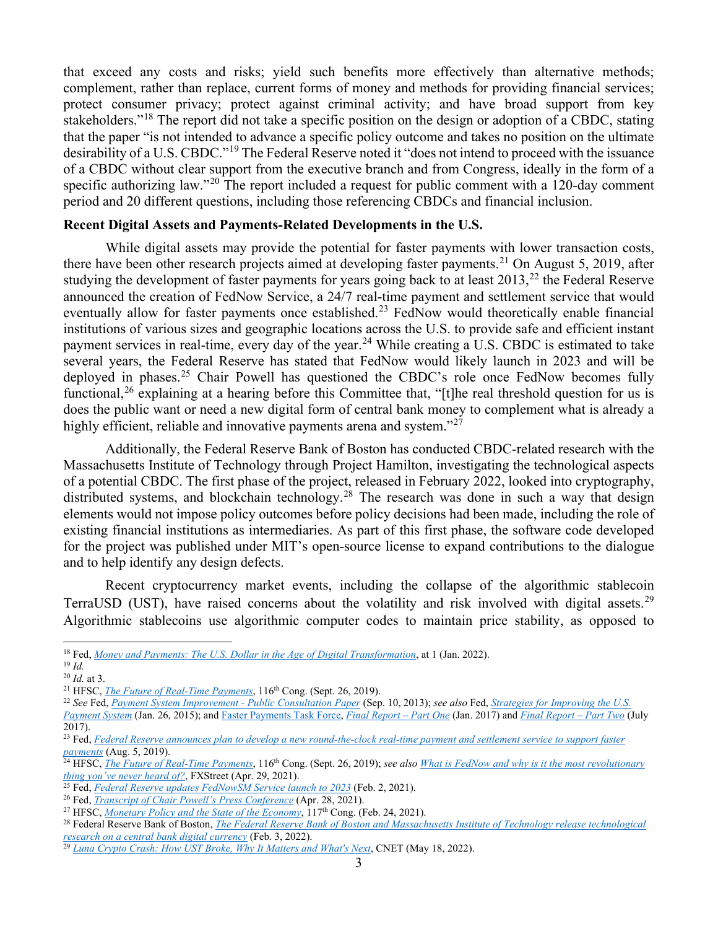that exceed any costs and risks; yield such benefits more effectively than alternative methods; complement, rather than replace, current forms of money and methods for providing financial services; protect consumer privacy; protect against criminal activity; and have broad support from key stakeholders."[18](#page-2-0) The report did not take a specific position on the design or adoption of a CBDC, stating that the paper "is not intended to advance a specific policy outcome and takes no position on the ultimate desirability of a U.S. CBDC."<sup>[19](#page-2-1)</sup> The Federal Reserve noted it "does not intend to proceed with the issuance of a CBDC without clear support from the executive branch and from Congress, ideally in the form of a specific authorizing law."<sup>[20](#page-2-2)</sup> The report included a request for public comment with a 120-day comment period and 20 different questions, including those referencing CBDCs and financial inclusion.

#### **Recent Digital Assets and Payments-Related Developments in the U.S.**

While digital assets may provide the potential for faster payments with lower transaction costs, there have been other research projects aimed at developing faster payments.<sup>[21](#page-2-3)</sup> On August 5, 2019, after studying the development of faster payments for years going back to at least 2013,<sup>[22](#page-2-4)</sup> the Federal Reserve announced the creation of FedNow Service, a 24/7 real-time payment and settlement service that would eventually allow for faster payments once established.<sup>[23](#page-2-5)</sup> FedNow would theoretically enable financial institutions of various sizes and geographic locations across the U.S. to provide safe and efficient instant payment services in real-time, every day of the year.<sup>[24](#page-2-6)</sup> While creating a U.S. CBDC is estimated to take several years, the Federal Reserve has stated that FedNow would likely launch in 2023 and will be deployed in phases.<sup>[25](#page-2-7)</sup> Chair Powell has questioned the CBDC's role once FedNow becomes fully functional,<sup>[26](#page-2-8)</sup> explaining at a hearing before this Committee that, "[t]he real threshold question for us is does the public want or need a new digital form of central bank money to complement what is already a highly efficient, reliable and innovative payments arena and system."<sup>[27](#page-2-9)</sup>

Additionally, the Federal Reserve Bank of Boston has conducted CBDC-related research with the Massachusetts Institute of Technology through Project Hamilton, investigating the technological aspects of a potential CBDC. The first phase of the project, released in February 2022, looked into cryptography, distributed systems, and blockchain technology.<sup>[28](#page-2-10)</sup> The research was done in such a way that design elements would not impose policy outcomes before policy decisions had been made, including the role of existing financial institutions as intermediaries. As part of this first phase, the software code developed for the project was published under MIT's open-source license to expand contributions to the dialogue and to help identify any design defects.

Recent cryptocurrency market events, including the collapse of the algorithmic stablecoin TerraUSD (UST), have raised concerns about the volatility and risk involved with digital assets.<sup>[29](#page-2-11)</sup> Algorithmic stablecoins use algorithmic computer codes to maintain price stability, as opposed to

<span id="page-2-0"></span><sup>18</sup> Fed, *Money and Payments: The U.S. Dollar in the Age of Digital Transformation*, at 1 (Jan. 2022).

<sup>19</sup> *Id.*

<span id="page-2-2"></span><span id="page-2-1"></span><sup>20</sup> *Id.* at 3.

<span id="page-2-3"></span><sup>&</sup>lt;sup>21</sup> HFSC, *The Future of Real-Time Payments*, 116<sup>th</sup> Cong. (Sept. 26, 2019).

<span id="page-2-4"></span><sup>22</sup> *See* Fed, *Payment System Improvement - Public Consultation Paper* (Sep. 10, 2013); *see also* Fed, *Strategies for Improving the U.S.* 

*Payment System* (Jan. 26, 2015); and Faster Payments Task Force, *Final Report – Part One* (Jan. 2017) and *Final Report – Part Two* (July 2017).

<span id="page-2-5"></span><sup>&</sup>lt;sup>23</sup> Fed, *Federal Reserve announces plan to develop a new round-the-clock real-time payment and settlement service to support faster payments* (Aug. 5, 2019).

<span id="page-2-6"></span><sup>24</sup> HFSC, *The Future of Real-Time Payments*, 116th Cong. (Sept. 26, 2019); *see also What is FedNow and why is it the most revolutionary thing you've never heard of?*, FXStreet (Apr. 29, 2021).

<span id="page-2-7"></span><sup>25</sup> Fed, *Federal Reserve updates FedNowSM Service launch to 2023* (Feb. 2, 2021).

<span id="page-2-8"></span><sup>26</sup> Fed, *Transcript of Chair Powell's Press Conference* (Apr. 28, 2021).

<span id="page-2-9"></span><sup>&</sup>lt;sup>27</sup> HFSC, *Monetary Policy and the State of the Economy*, 117<sup>th</sup> Cong. (Feb. 24, 2021).

<span id="page-2-10"></span><sup>28</sup> Federal Reserve Bank of Boston, *The Federal Reserve Bank of Boston and Massachusetts Institute of Technology release technological research on a central bank digital currency* (Feb. 3, 2022).

<span id="page-2-11"></span><sup>29</sup> *Luna Crypto Crash: How UST Broke, Why It Matters and What's Next*, CNET (May 18, 2022).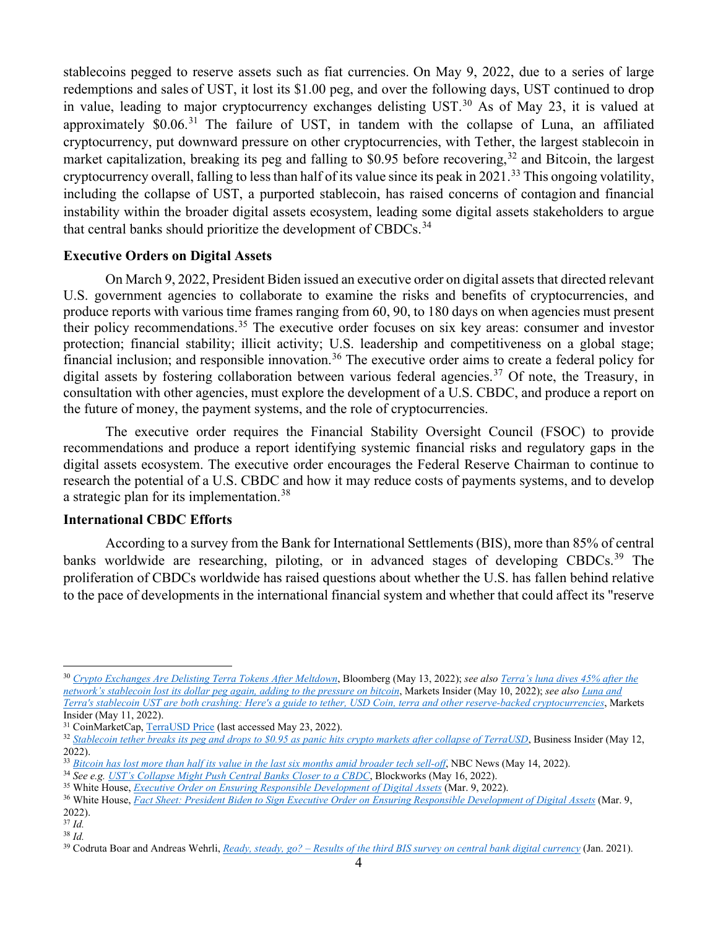stablecoins pegged to reserve assets such as fiat currencies. On May 9, 2022, due to a series of large redemptions and sales of UST, it lost its \$1.00 peg, and over the following days, UST continued to drop in value, leading to major cryptocurrency exchanges delisting UST.<sup>[30](#page-3-0)</sup> As of May 23, it is valued at approximately \$0.06.<sup>[31](#page-3-1)</sup> The failure of UST, in tandem with the collapse of Luna, an affiliated cryptocurrency, put downward pressure on other cryptocurrencies, with Tether, the largest stablecoin in market capitalization, breaking its peg and falling to \$0.95 before recovering,  $32$  and Bitcoin, the largest cryptocurrency overall, falling to less than half of its value since its peak in 2021.<sup>[33](#page-3-3)</sup> This ongoing volatility, including the collapse of UST, a purported stablecoin, has raised concerns of contagion and financial instability within the broader digital assets ecosystem, leading some digital assets stakeholders to argue that central banks should prioritize the development of CBDCs.<sup>[34](#page-3-4)</sup>

#### **Executive Orders on Digital Assets**

On March 9, 2022, President Biden issued an executive order on digital assets that directed relevant U.S. government agencies to collaborate to examine the risks and benefits of cryptocurrencies, and produce reports with various time frames ranging from 60, 90, to 180 days on when agencies must present their policy recommendations.[35](#page-3-5) The executive order focuses on six key areas: consumer and investor protection; financial stability; illicit activity; U.S. leadership and competitiveness on a global stage; financial inclusion; and responsible innovation.[36](#page-3-6) The executive order aims to create a federal policy for digital assets by fostering collaboration between various federal agencies.<sup>[37](#page-3-7)</sup> Of note, the Treasury, in consultation with other agencies, must explore the development of a U.S. CBDC, and produce a report on the future of money, the payment systems, and the role of cryptocurrencies.

The executive order requires the Financial Stability Oversight Council (FSOC) to provide recommendations and produce a report identifying systemic financial risks and regulatory gaps in the digital assets ecosystem. The executive order encourages the Federal Reserve Chairman to continue to research the potential of a U.S. CBDC and how it may reduce costs of payments systems, and to develop a strategic plan for its implementation.<sup>[38](#page-3-8)</sup>

### **International CBDC Efforts**

According to a survey from the Bank for International Settlements (BIS), more than 85% of central banks worldwide are researching, piloting, or in advanced stages of developing CBDCs.<sup>[39](#page-3-9)</sup> The proliferation of CBDCs worldwide has raised questions about whether the U.S. has fallen behind relative to the pace of developments in the international financial system and whether that could affect its "reserve

<span id="page-3-0"></span><sup>30</sup> *Crypto Exchanges Are Delisting Terra Tokens After Meltdown*, Bloomberg (May 13, 2022); *see also Terra's luna dives 45% after the network's stablecoin lost its dollar peg again, adding to the pressure on bitcoin*, Markets Insider (May 10, 2022); *see also Luna and Terra's stablecoin UST are both crashing: Here's a guide to tether, USD Coin, terra and other reserve-backed cryptocurrencies*, Markets Insider (May 11, 2022).

<span id="page-3-1"></span><sup>&</sup>lt;sup>31</sup> CoinMarketCap, TerraUSD Price (last accessed May 23, 2022).

<span id="page-3-2"></span><sup>&</sup>lt;sup>32</sup> Stablecoin tether breaks its peg and drops to \$0.95 as panic hits crypto markets after collapse of TerraUSD, Business Insider (May 12, 2022).

<span id="page-3-3"></span><sup>33</sup> *Bitcoin has lost more than half its value in the last six months amid broader tech sell-off*, NBC News (May 14, 2022).

<span id="page-3-5"></span><span id="page-3-4"></span><sup>34</sup> *See e.g. UST's Collapse Might Push Central Banks Closer to a CBDC*, Blockworks (May 16, 2022).

<sup>35</sup> White House, *Executive Order on Ensuring Responsible Development of Digital Assets* (Mar. 9, 2022).

<span id="page-3-6"></span><sup>36</sup> White House, *Fact Sheet: President Biden to Sign Executive Order on Ensuring Responsible Development of Digital Assets* (Mar. 9, 2022).

<span id="page-3-7"></span><sup>37</sup> *Id.* <sup>38</sup> *Id.*

<span id="page-3-9"></span><span id="page-3-8"></span>

<sup>39</sup> Codruta Boar and Andreas Wehrli, *Ready, steady, go? – Results of the third BIS survey on central bank digital currency* (Jan. 2021).